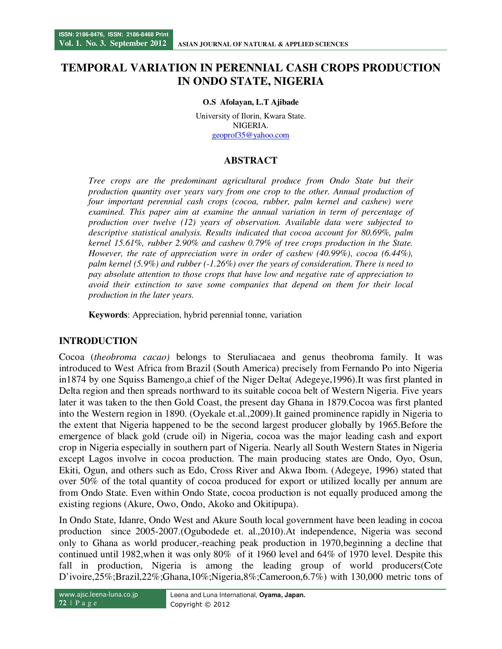# **TEMPORAL VARIATION IN PERENNIAL CASH CROPS PRODUCTION IN ONDO STATE, NIGERIA**

#### **O.S Afolayan, L.T Ajibade**

University of Ilorin, Kwara State. NIGERIA. geoprof35@yahoo.com

## **ABSTRACT**

*Tree crops are the predominant agricultural produce from Ondo State but their production quantity over years vary from one crop to the other. Annual production of four important perennial cash crops (cocoa, rubber, palm kernel and cashew) were examined. This paper aim at examine the annual variation in term of percentage of production over twelve (12) years of observation. Available data were subjected to descriptive statistical analysis. Results indicated that cocoa account for 80.69%, palm kernel 15.61%, rubber 2.90% and cashew 0.79% of tree crops production in the State. However, the rate of appreciation were in order of cashew (40.99%), cocoa (6.44%), palm kernel (5.9%) and rubber (-1.26%) over the years of consideration. There is need to pay absolute attention to those crops that have low and negative rate of appreciation to avoid their extinction to save some companies that depend on them for their local production in the later years.* 

**Keywords**: Appreciation, hybrid perennial tonne, variation

### **INTRODUCTION**

Cocoa (*theobroma cacao)* belongs to Steruliacaea and genus theobroma family. It was introduced to West Africa from Brazil (South America) precisely from Fernando Po into Nigeria in1874 by one Squiss Bamengo,a chief of the Niger Delta( Adegeye,1996).It was first planted in Delta region and then spreads northward to its suitable cocoa belt of Western Nigeria. Five years later it was taken to the then Gold Coast, the present day Ghana in 1879.Cocoa was first planted into the Western region in 1890. (Oyekale et.al.,2009).It gained prominence rapidly in Nigeria to the extent that Nigeria happened to be the second largest producer globally by 1965.Before the emergence of black gold (crude oil) in Nigeria, cocoa was the major leading cash and export crop in Nigeria especially in southern part of Nigeria. Nearly all South Western States in Nigeria except Lagos involve in cocoa production. The main producing states are Ondo, Oyo, Osun, Ekiti, Ogun, and others such as Edo, Cross River and Akwa Ibom. (Adegeye, 1996) stated that over 50% of the total quantity of cocoa produced for export or utilized locally per annum are from Ondo State. Even within Ondo State, cocoa production is not equally produced among the existing regions (Akure, Owo, Ondo, Akoko and Okitipupa).

In Ondo State, Idanre, Ondo West and Akure South local government have been leading in cocoa production since 2005-2007.(Ogubodede et. al.,2010).At independence, Nigeria was second only to Ghana as world producer,-reaching peak production in 1970,beginning a decline that continued until 1982,when it was only 80% of it 1960 level and 64% of 1970 level. Despite this fall in production, Nigeria is among the leading group of world producers(Cote D'ivoire,25%;Brazil,22%;Ghana,10%;Nigeria,8%;Cameroon,6.7%) with 130,000 metric tons of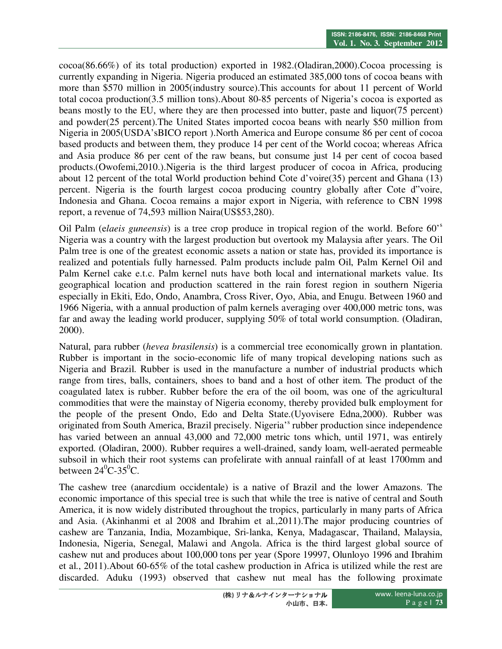cocoa(86.66%) of its total production) exported in 1982.(Oladiran,2000).Cocoa processing is currently expanding in Nigeria. Nigeria produced an estimated 385,000 tons of cocoa beans with more than \$570 million in 2005(industry source).This accounts for about 11 percent of World total cocoa production(3.5 million tons).About 80-85 percents of Nigeria's cocoa is exported as beans mostly to the EU, where they are then processed into butter, paste and liquor(75 percent) and powder(25 percent).The United States imported cocoa beans with nearly \$50 million from Nigeria in 2005(USDA'sBICO report ).North America and Europe consume 86 per cent of cocoa based products and between them, they produce 14 per cent of the World cocoa; whereas Africa and Asia produce 86 per cent of the raw beans, but consume just 14 per cent of cocoa based products.(Owofemi,2010.).Nigeria is the third largest producer of cocoa in Africa, producing about 12 percent of the total World production behind Cote d'voire(35) percent and Ghana (13) percent. Nigeria is the fourth largest cocoa producing country globally after Cote d"voire, Indonesia and Ghana. Cocoa remains a major export in Nigeria, with reference to CBN 1998 report, a revenue of 74,593 million Naira(US\$53,280).

Oil Palm (e*laeis guneensis*) is a tree crop produce in tropical region of the world. Before 60'<sup>s</sup> Nigeria was a country with the largest production but overtook my Malaysia after years. The Oil Palm tree is one of the greatest economic assets a nation or state has, provided its importance is realized and potentials fully harnessed. Palm products include palm Oil, Palm Kernel Oil and Palm Kernel cake e.t.c. Palm kernel nuts have both local and international markets value. Its geographical location and production scattered in the rain forest region in southern Nigeria especially in Ekiti, Edo, Ondo, Anambra, Cross River, Oyo, Abia, and Enugu. Between 1960 and 1966 Nigeria, with a annual production of palm kernels averaging over 400,000 metric tons, was far and away the leading world producer, supplying 50% of total world consumption. (Oladiran, 2000).

Natural, para rubber (*hevea brasilensis*) is a commercial tree economically grown in plantation. Rubber is important in the socio-economic life of many tropical developing nations such as Nigeria and Brazil. Rubber is used in the manufacture a number of industrial products which range from tires, balls, containers, shoes to band and a host of other item. The product of the coagulated latex is rubber. Rubber before the era of the oil boom, was one of the agricultural commodities that were the mainstay of Nigeria economy, thereby provided bulk employment for the people of the present Ondo, Edo and Delta State.(Uyovisere Edna,2000). Rubber was originated from South America, Brazil precisely. Nigeria's rubber production since independence has varied between an annual 43,000 and 72,000 metric tons which, until 1971, was entirely exported. (Oladiran, 2000). Rubber requires a well-drained, sandy loam, well-aerated permeable subsoil in which their root systems can profelirate with annual rainfall of at least 1700mm and between  $24^0C-35^0C$ .

The cashew tree (anarcdium occidentale) is a native of Brazil and the lower Amazons. The economic importance of this special tree is such that while the tree is native of central and South America, it is now widely distributed throughout the tropics, particularly in many parts of Africa and Asia. (Akinhanmi et al 2008 and Ibrahim et al.,2011).The major producing countries of cashew are Tanzania, India, Mozambique, Sri-lanka, Kenya, Madagascar, Thailand, Malaysia, Indonesia, Nigeria, Senegal, Malawi and Angola. Africa is the third largest global source of cashew nut and produces about 100,000 tons per year (Spore 19997, Olunloyo 1996 and Ibrahim et al., 2011).About 60-65% of the total cashew production in Africa is utilized while the rest are discarded. Aduku (1993) observed that cashew nut meal has the following proximate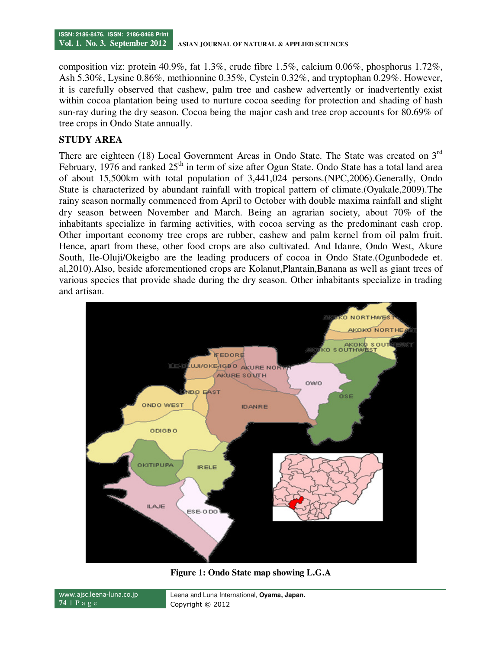composition viz: protein 40.9%, fat 1.3%, crude fibre 1.5%, calcium 0.06%, phosphorus 1.72%, Ash 5.30%, Lysine 0.86%, methionnine 0.35%, Cystein 0.32%, and tryptophan 0.29%. However, it is carefully observed that cashew, palm tree and cashew advertently or inadvertently exist within cocoa plantation being used to nurture cocoa seeding for protection and shading of hash sun-ray during the dry season. Cocoa being the major cash and tree crop accounts for 80.69% of tree crops in Ondo State annually.

### **STUDY AREA**

There are eighteen (18) Local Government Areas in Ondo State. The State was created on 3<sup>rd</sup> February, 1976 and ranked  $25<sup>th</sup>$  in term of size after Ogun State. Ondo State has a total land area of about 15,500km with total population of 3,441,024 persons.(NPC,2006).Generally, Ondo State is characterized by abundant rainfall with tropical pattern of climate.(Oyakale,2009).The rainy season normally commenced from April to October with double maxima rainfall and slight dry season between November and March. Being an agrarian society, about 70% of the inhabitants specialize in farming activities, with cocoa serving as the predominant cash crop. Other important economy tree crops are rubber, cashew and palm kernel from oil palm fruit. Hence, apart from these, other food crops are also cultivated. And Idanre, Ondo West, Akure South, Ile-Oluji/Okeigbo are the leading producers of cocoa in Ondo State.(Ogunbodede et. al,2010).Also, beside aforementioned crops are Kolanut,Plantain,Banana as well as giant trees of various species that provide shade during the dry season. Other inhabitants specialize in trading and artisan.



**Figure 1: Ondo State map showing L.G.A** 

| www.aisc.leena-luna.co.jp | Leena and Luna International, Oyama, Japan. |  |  |  |
|---------------------------|---------------------------------------------|--|--|--|
| $74$   Page               | Copyright © 2012                            |  |  |  |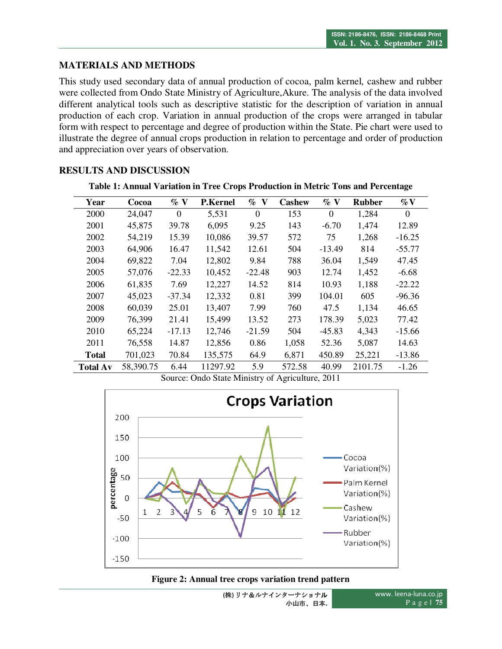## **MATERIALS AND METHODS**

This study used secondary data of annual production of cocoa, palm kernel, cashew and rubber were collected from Ondo State Ministry of Agriculture,Akure. The analysis of the data involved different analytical tools such as descriptive statistic for the description of variation in annual production of each crop. Variation in annual production of the crops were arranged in tabular form with respect to percentage and degree of production within the State. Pie chart were used to illustrate the degree of annual crops production in relation to percentage and order of production and appreciation over years of observation.

### **RESULTS AND DISCUSSION**

| Year            | Cocoa     | $\%$ V   | <b>P.Kernel</b> | $\%$ V   | <b>Cashew</b> | $\%$ V   | <b>Rubber</b> | $\%$ V   |
|-----------------|-----------|----------|-----------------|----------|---------------|----------|---------------|----------|
| 2000            | 24,047    | $\Omega$ | 5,531           | $\Omega$ | 153           | $\Omega$ | 1,284         | $\Omega$ |
| 2001            | 45,875    | 39.78    | 6,095           | 9.25     | 143           | $-6.70$  | 1,474         | 12.89    |
| 2002            | 54,219    | 15.39    | 10,086          | 39.57    | 572           | 75       | 1,268         | $-16.25$ |
| 2003            | 64,906    | 16.47    | 11,542          | 12.61    | 504           | $-13.49$ | 814           | $-55.77$ |
| 2004            | 69,822    | 7.04     | 12,802          | 9.84     | 788           | 36.04    | 1,549         | 47.45    |
| 2005            | 57,076    | $-22.33$ | 10,452          | $-22.48$ | 903           | 12.74    | 1,452         | $-6.68$  |
| 2006            | 61,835    | 7.69     | 12,227          | 14.52    | 814           | 10.93    | 1,188         | $-22.22$ |
| 2007            | 45,023    | $-37.34$ | 12,332          | 0.81     | 399           | 104.01   | 605           | $-96.36$ |
| 2008            | 60,039    | 25.01    | 13,407          | 7.99     | 760           | 47.5     | 1,134         | 46.65    |
| 2009            | 76,399    | 21.41    | 15,499          | 13.52    | 273           | 178.39   | 5,023         | 77.42    |
| 2010            | 65,224    | $-17.13$ | 12,746          | $-21.59$ | 504           | $-45.83$ | 4,343         | $-15.66$ |
| 2011            | 76,558    | 14.87    | 12,856          | 0.86     | 1,058         | 52.36    | 5,087         | 14.63    |
| Total           | 701,023   | 70.84    | 135,575         | 64.9     | 6,871         | 450.89   | 25,221        | $-13.86$ |
| <b>Total Av</b> | 58,390.75 | 6.44     | 11297.92        | 5.9      | 572.58        | 40.99    | 2101.75       | $-1.26$  |

**Table 1: Annual Variation in Tree Crops Production in Metric Tons and Percentage** 



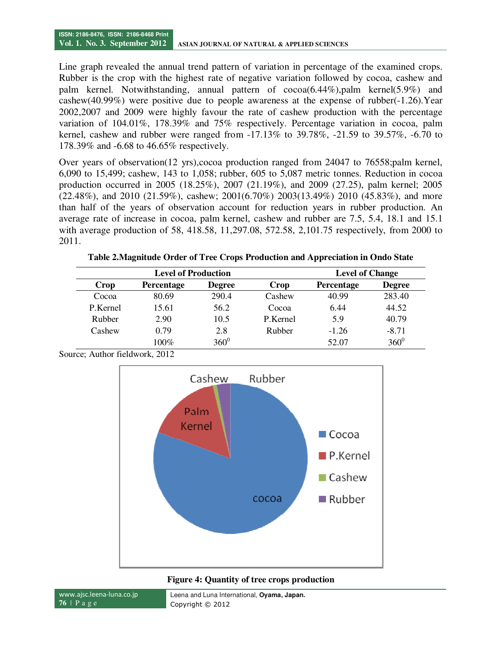Line graph revealed the annual trend pattern of variation in percentage of the examined crops. Rubber is the crop with the highest rate of negative variation followed by cocoa, cashew and palm kernel. Notwithstanding, annual pattern of cocoa(6.44%),palm kernel(5.9%) and cashew(40.99%) were positive due to people awareness at the expense of rubber(-1.26).Year 2002,2007 and 2009 were highly favour the rate of cashew production with the percentage variation of 104.01%, 178.39% and 75% respectively. Percentage variation in cocoa, palm kernel, cashew and rubber were ranged from -17.13% to 39.78%, -21.59 to 39.57%, -6.70 to 178.39% and -6.68 to 46.65% respectively.

Over years of observation(12 yrs),cocoa production ranged from 24047 to 76558;palm kernel, 6,090 to 15,499; cashew, 143 to 1,058; rubber, 605 to 5,087 metric tonnes. Reduction in cocoa production occurred in 2005 (18.25%), 2007 (21.19%), and 2009 (27.25), palm kernel; 2005 (22.48%), and 2010 (21.59%), cashew; 2001(6.70%) 2003(13.49%) 2010 (45.83%), and more than half of the years of observation account for reduction years in rubber production. An average rate of increase in cocoa, palm kernel, cashew and rubber are 7.5, 5.4, 18.1 and 15.1 with average production of 58, 418.58, 11,297.08, 572.58, 2,101.75 respectively, from 2000 to 2011.

**Table 2.Magnitude Order of Tree Crops Production and Appreciation in Ondo State**

|          | <b>Level of Production</b> | <b>Level of Change</b> |          |                   |               |
|----------|----------------------------|------------------------|----------|-------------------|---------------|
| Crop     | <b>Percentage</b>          | <b>Degree</b>          | Crop     | <b>Percentage</b> | <b>Degree</b> |
| Cocoa    | 80.69                      | 290.4                  | Cashew   | 40.99             | 283.40        |
| P.Kernel | 15.61                      | 56.2                   | Cocoa    | 6.44              | 44.52         |
| Rubber   | 2.90                       | 10.5                   | P.Kernel | 5.9               | 40.79         |
| Cashew   | 0.79                       | 2.8                    | Rubber   | $-1.26$           | $-8.71$       |
|          | $100\%$                    | $360^0$                |          | 52.07             | $360^{0}$     |



Source; Author fieldwork, 2012

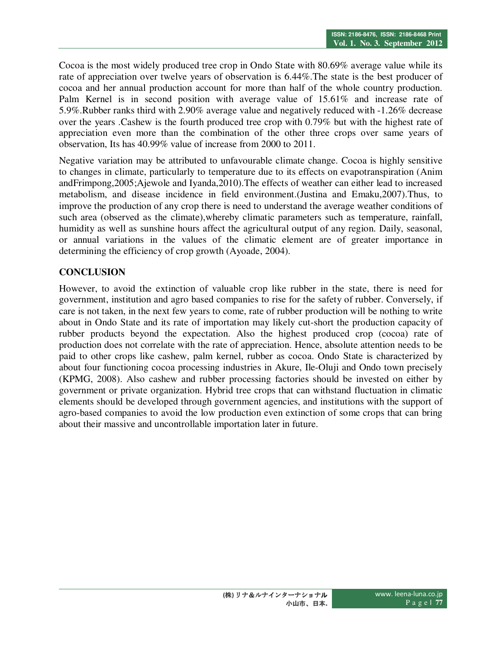Cocoa is the most widely produced tree crop in Ondo State with 80.69% average value while its rate of appreciation over twelve years of observation is 6.44%.The state is the best producer of cocoa and her annual production account for more than half of the whole country production. Palm Kernel is in second position with average value of 15.61% and increase rate of 5.9%.Rubber ranks third with 2.90% average value and negatively reduced with -1.26% decrease over the years .Cashew is the fourth produced tree crop with 0.79% but with the highest rate of appreciation even more than the combination of the other three crops over same years of observation, Its has 40.99% value of increase from 2000 to 2011.

Negative variation may be attributed to unfavourable climate change. Cocoa is highly sensitive to changes in climate, particularly to temperature due to its effects on evapotranspiration (Anim andFrimpong,2005;Ajewole and Iyanda,2010).The effects of weather can either lead to increased metabolism, and disease incidence in field environment.(Justina and Emaku,2007).Thus, to improve the production of any crop there is need to understand the average weather conditions of such area (observed as the climate),whereby climatic parameters such as temperature, rainfall, humidity as well as sunshine hours affect the agricultural output of any region. Daily, seasonal, or annual variations in the values of the climatic element are of greater importance in determining the efficiency of crop growth (Ayoade, 2004).

# **CONCLUSION**

However, to avoid the extinction of valuable crop like rubber in the state, there is need for government, institution and agro based companies to rise for the safety of rubber. Conversely, if care is not taken, in the next few years to come, rate of rubber production will be nothing to write about in Ondo State and its rate of importation may likely cut-short the production capacity of rubber products beyond the expectation. Also the highest produced crop (cocoa) rate of production does not correlate with the rate of appreciation. Hence, absolute attention needs to be paid to other crops like cashew, palm kernel, rubber as cocoa. Ondo State is characterized by about four functioning cocoa processing industries in Akure, Ile-Oluji and Ondo town precisely (KPMG, 2008). Also cashew and rubber processing factories should be invested on either by government or private organization. Hybrid tree crops that can withstand fluctuation in climatic elements should be developed through government agencies, and institutions with the support of agro-based companies to avoid the low production even extinction of some crops that can bring about their massive and uncontrollable importation later in future.